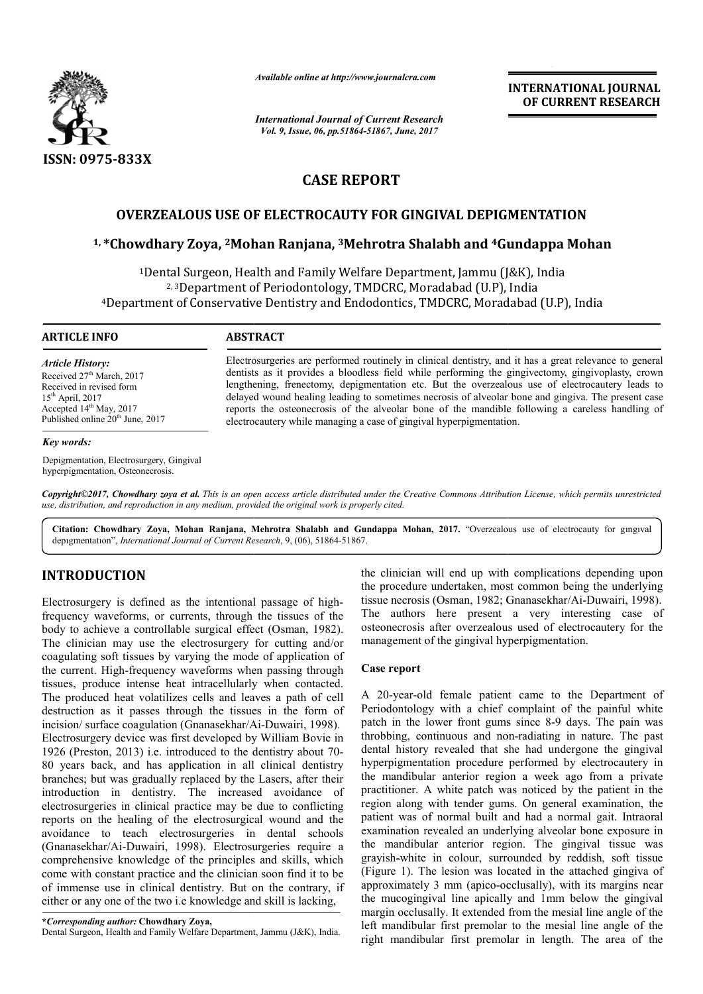

*Available online at http://www.journalcra.com*

*International Journal of Current Research Vol. 9, Issue, 06, pp.51864-51867, June, 2017*

**INTERNATIONAL JOURNAL OF CURRENT RESEARCH** 

# **CASE REPORT**

# **OVERZEALOUS USE OF ELECTROCAUTY FOR GINGIVAL DEPIGMENTATION**

# OVERZEALOUS USE OF ELECTROCAUTY FOR GINGIVAL DEPIGMENTATION<br><sup>1, \*</sup>Chowdhary Zoya, <sup>2</sup>Mohan Ranjana, <sup>3</sup>Mehrotra Shalabh and <sup>4</sup>Gundappa Mohan

<sup>1</sup>Dental Surgeon, Health and Family Welfare Department, Jammu (J&K), India <sup>2, 3</sup>Department of Periodontology, TMDCRC, Moradabad (U.P), India <sup>2, 3</sup>Department of Periodontology, TMDCRC, Moradabad (U.P), India<br>Department of Conservative Dentistry and Endodontics, TMDCRC, Moradabad (U.P), India

#### **ARTICLE INFO ABSTRACT**

*Article History:* Received 27<sup>th</sup> March, 2017 Received in revised form 15th April, 2017  $\text{Accepted } 14^{\text{th}}$  May, 2017 Published online 20<sup>th</sup> June, 2017

#### *Key words:*

Depigmentation, Electrosurgery, Gingival hyperpigmentation, Osteonecrosis.

Electrosurgeries are performed routinely in clinical dentistry, and it has a great relevance to general dentists as it provides a bloodless field while performing the gingivectomy, gingivoplasty, crown Electrosurgeries are performed routinely in clinical dentistry, and it has a great relevance to general dentists as it provides a bloodless field while performing the gingivectomy, gingivoplasty, crown lengthening, frenect delayed wound healing leading to sometimes necrosis of alveolar bone and gingiva. The present case reports the osteonecrosis of the alveolar bone of the mandible following a careless handling of electrocautery while managing a case of gingival hyperpigmentation delayed wound healing leading to sometimes necrosis of alveolar bone and gingiva. The present reports the osteonecrosis of the alveolar bone of the mandible following a careless handlin electrocautery while managing a case

*Copyright©2017, Chowdhary zoya et al. This is an open access article distributed under the Creative Commons Attribution License, which ribution permits unrestricted use, distribution, and reproduction in any medium, provided the original work is properly cited.*

Citation: Chowdhary Zoya, Mohan Ranjana, Mehrotra Shalabh and Gundappa Mohan, 2017. "Overzealous use of electrocauty for gingival depıgmentatıon", *International Journal of Current Research* , 9, (06), 51864-51867.

# **INTRODUCTION**

Electrosurgery is defined as the intentional passage of highfrequency waveforms, or currents, through the tissues of the body to achieve a controllable surgical effect (Osman, 1982). The clinician may use the electrosurgery for cutting and/or coagulating soft tissues by varying the mode of application of coagulating soft tissues by varying the mode of application of the current. High-frequency waveforms when passing through tissues, produce intense heat intracellularly when contacted. The produced heat volatilizes cells and leaves a path of cell destruction as it passes through the tissues in the form of incision/ surface coagulation (Gnanasekhar/Ai-Duwairi, 1998). Electrosurgery device was first developed by William Bovie in 1926 (Preston, 2013) i.e. introduced to the dentistry about 70 70- 80 years back, and has application in all clinical dentistry branches; but was gradually replaced by the Lasers, after their introduction in dentistry. The increased avoidance of electrosurgeries in clinical practice may be due to conflicting reports on the healing of the electrosurgical wound and the avoidance to teach electrosurgeries in dental schools (Gnanasekhar/Ai-Duwairi, 1998). Electrosurgeries require a comprehensive knowledge of the principles and skills, which come with constant practice and the clinician soon find it to be of immense use in clinical dentistry. But on the contrary, if either or any one of the two i.e knowledge and skill is lacking, e principles and skills, which<br>the clinician soon find it to be<br>tistry. But on the contrary, i<br>nowledge and skill is lacking,<br>ya,<br>are Department, Jammu (J&K), India.

**\****Corresponding author:* **Chowdhary Zoya,** Dental Surgeon, Health and Family Welfare Department, Jammu (J&K), India the clinician will end up with complications depending upon the clinician will end up with complications depending upon the procedure undertaken, most common being the underlying tissue necrosis (Osman, 1982; Gnanasekhar/Ai-Duwairi, 1998). The authors here present a very interesting case of The authors here present a very interesting case of osteonecrosis after overzealous used of electrocautery for the management of the gingival hyperpigmentation.

# **Case report**

A 20-year-old female patient came to the Department of A 20-year-old female patient came to the Department of Periodontology with a chief complaint of the painful white patch in the lower front gums since 8-9 days. The pain was throbbing, continuous and non-radiating in nature. The past dental history revealed that she had undergone the gingival dental history revealed that she had undergone the gingival<br>hyperpigmentation procedure performed by electrocautery in the mandibular anterior region a week ago from a private practitioner. A white patch was noticed by the patient in the region along with tender gums. On general examination, the the mandibular anterior region a week ago from a private practitioner. A white patch was noticed by the patient in the region along with tender gums. On general examination, the patient was of normal built and had a normal examination revealed an underlying alveolar bone exposure in the mandibular anterior region. The gingival tissue was grayish-white in colour, surrounded by reddish, soft tissue (Figure 1). The lesion was located in the attached gingiva of grayish-white in colour, surrounded by reddish, soft tissue (Figure 1). The lesion was located in the attached gingiva of approximately 3 mm (apico-occlusally), with its margins near the mucogingival line apically and 1mm below the gingival margin occlusally. It extended from the mesial line angle of the left mandibular first premolar to the mesial line angle of the right mandibular first premolar in length. The area of the **INTERNATIONAL JOURNAL FORMATION CONVINING THE CONVINING THE EXECUTE THE CONVINING CONVINING CONVINING CONVINING STREET AND A CONVINING THE CONVINING THE CONVINING THE CONVINING THE CONVINING THE CONVINING THE PREMOVEM CON**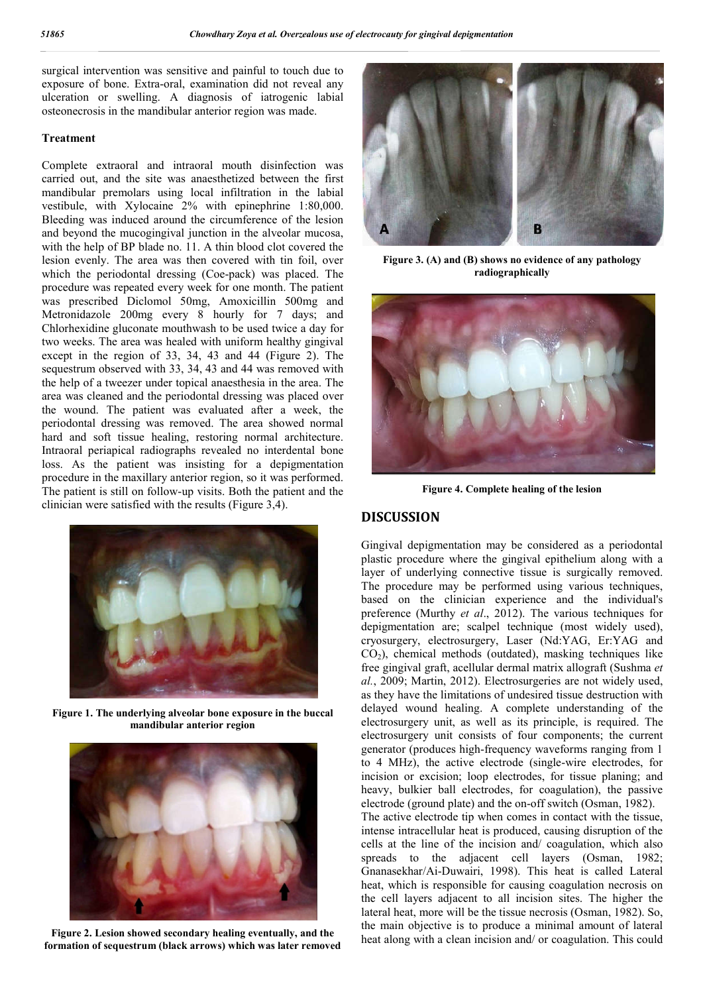surgical intervention was sensitive and painful to touch due to exposure of bone. Extra-oral, examination did not reveal any ulceration or swelling. A diagnosis of iatrogenic labial osteonecrosis in the mandibular anterior region was made.

### **Treatment**

Complete extraoral and intraoral mouth disinfection was carried out, and the site was anaesthetized between the first mandibular premolars using local infiltration in the labial vestibule, with Xylocaine 2% with epinephrine 1:80,000. Bleeding was induced around the circumference of the lesion and beyond the mucogingival junction in the alveolar mucosa, with the help of BP blade no. 11. A thin blood clot covered the lesion evenly. The area was then covered with tin foil, over which the periodontal dressing (Coe-pack) was placed. The procedure was repeated every week for one month. The patient was prescribed Diclomol 50mg, Amoxicillin 500mg and Metronidazole 200mg every 8 hourly for 7 days; and Chlorhexidine gluconate mouthwash to be used twice a day for two weeks. The area was healed with uniform healthy gingival except in the region of 33, 34, 43 and 44 (Figure 2). The sequestrum observed with 33, 34, 43 and 44 was removed with the help of a tweezer under topical anaesthesia in the area. The area was cleaned and the periodontal dressing was placed over the wound. The patient was evaluated after a week, the periodontal dressing was removed. The area showed normal hard and soft tissue healing, restoring normal architecture. Intraoral periapical radiographs revealed no interdental bone loss. As the patient was insisting for a depigmentation procedure in the maxillary anterior region, so it was performed. The patient is still on follow-up visits. Both the patient and the clinician were satisfied with the results (Figure 3,4).



**Figure 1. The underlying alveolar bone exposure in the buccal mandibular anterior region**



**Figure 2. Lesion showed secondary healing eventually, and the formation of sequestrum (black arrows) which was later removed**



**Figure 3. (A) and (B) shows no evidence of any pathology radiographically**



**Figure 4. Complete healing of the lesion**

# **DISCUSSION**

Gingival depigmentation may be considered as a periodontal plastic procedure where the gingival epithelium along with a layer of underlying connective tissue is surgically removed. The procedure may be performed using various techniques, based on the clinician experience and the individual's preference (Murthy *et al*., 2012). The various techniques for depigmentation are; scalpel technique (most widely used), cryosurgery, electrosurgery, Laser (Nd:YAG, Er:YAG and  $CO<sub>2</sub>$ ), chemical methods (outdated), masking techniques like free gingival graft, acellular dermal matrix allograft (Sushma *et al.*, 2009; Martin, 2012). Electrosurgeries are not widely used, as they have the limitations of undesired tissue destruction with delayed wound healing. A complete understanding of the electrosurgery unit, as well as its principle, is required. The electrosurgery unit consists of four components; the current generator (produces high-frequency waveforms ranging from 1 to 4 MHz), the active electrode (single-wire electrodes, for incision or excision; loop electrodes, for tissue planing; and heavy, bulkier ball electrodes, for coagulation), the passive electrode (ground plate) and the on-off switch (Osman, 1982). The active electrode tip when comes in contact with the tissue, intense intracellular heat is produced, causing disruption of the cells at the line of the incision and/ coagulation, which also spreads to the adjacent cell layers (Osman, 1982; Gnanasekhar/Ai-Duwairi, 1998). This heat is called Lateral heat, which is responsible for causing coagulation necrosis on the cell layers adjacent to all incision sites. The higher the lateral heat, more will be the tissue necrosis (Osman, 1982). So, the main objective is to produce a minimal amount of lateral heat along with a clean incision and/ or coagulation. This could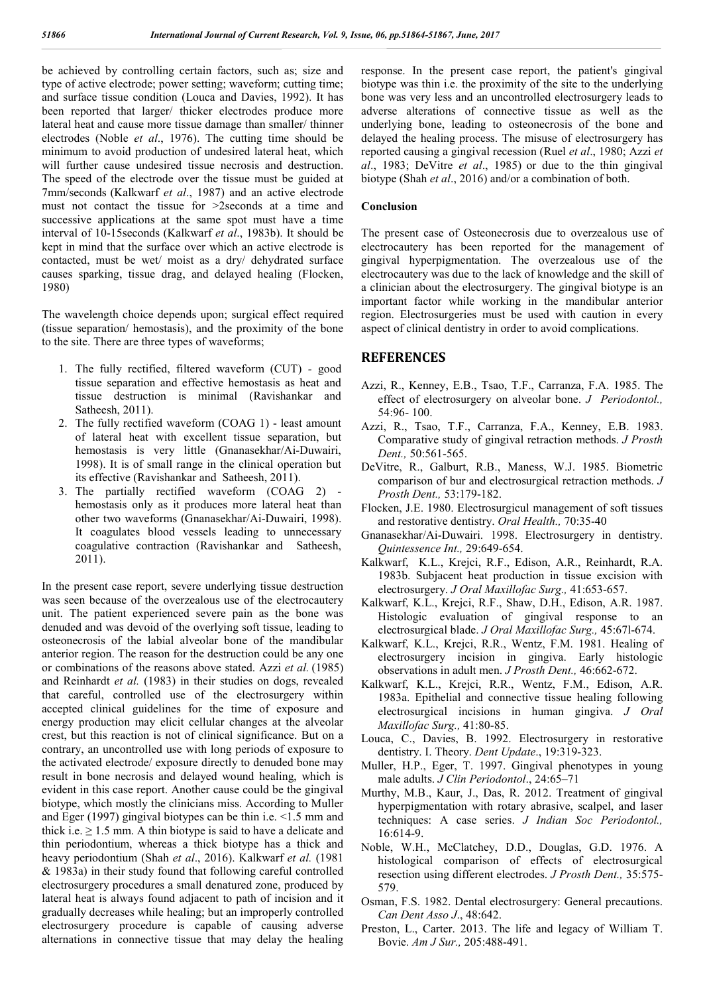be achieved by controlling certain factors, such as; size and type of active electrode; power setting; waveform; cutting time; and surface tissue condition (Louca and Davies, 1992). It has been reported that larger/ thicker electrodes produce more lateral heat and cause more tissue damage than smaller/ thinner electrodes (Noble *et al*., 1976). The cutting time should be minimum to avoid production of undesired lateral heat, which will further cause undesired tissue necrosis and destruction. The speed of the electrode over the tissue must be guided at 7mm/seconds (Kalkwarf *et al*., 1987) and an active electrode must not contact the tissue for >2seconds at a time and successive applications at the same spot must have a time interval of 10-15seconds (Kalkwarf *et al*., 1983b). It should be kept in mind that the surface over which an active electrode is contacted, must be wet/ moist as a dry/ dehydrated surface causes sparking, tissue drag, and delayed healing (Flocken, 1980)

The wavelength choice depends upon; surgical effect required (tissue separation/ hemostasis), and the proximity of the bone to the site. There are three types of waveforms;

- 1. The fully rectified, filtered waveform (CUT) *-* good tissue separation and effective hemostasis as heat and tissue destruction is minimal (Ravishankar and Satheesh, 2011).
- 2. The fully rectified waveform (COAG 1) least amount of lateral heat with excellent tissue separation, but hemostasis is very little (Gnanasekhar/Ai-Duwairi, 1998). It is of small range in the clinical operation but its effective (Ravishankar and Satheesh, 2011).
- 3. The partially rectified waveform (COAG 2) hemostasis only as it produces more lateral heat than other two waveforms (Gnanasekhar/Ai-Duwairi, 1998). It coagulates blood vessels leading to unnecessary coagulative contraction (Ravishankar and Satheesh, 2011).

In the present case report, severe underlying tissue destruction was seen because of the overzealous use of the electrocautery unit. The patient experienced severe pain as the bone was denuded and was devoid of the overlying soft tissue, leading to osteonecrosis of the labial alveolar bone of the mandibular anterior region. The reason for the destruction could be any one or combinations of the reasons above stated. Azzi *et al.* (1985) and Reinhardt *et al.* (1983) in their studies on dogs, revealed that careful, controlled use of the electrosurgery within accepted clinical guidelines for the time of exposure and energy production may elicit cellular changes at the alveolar crest, but this reaction is not of clinical significance. But on a contrary, an uncontrolled use with long periods of exposure to the activated electrode/ exposure directly to denuded bone may result in bone necrosis and delayed wound healing, which is evident in this case report. Another cause could be the gingival biotype, which mostly the clinicians miss. According to Muller and Eger (1997) gingival biotypes can be thin i.e. <1.5 mm and thick i.e.  $\geq 1.5$  mm. A thin biotype is said to have a delicate and thin periodontium, whereas a thick biotype has a thick and heavy periodontium (Shah *et al*., 2016). Kalkwarf *et al.* (1981 & 1983a) in their study found that following careful controlled electrosurgery procedures a small denatured zone, produced by lateral heat is always found adjacent to path of incision and it gradually decreases while healing; but an improperly controlled electrosurgery procedure is capable of causing adverse alternations in connective tissue that may delay the healing

response. In the present case report, the patient's gingival biotype was thin i.e. the proximity of the site to the underlying bone was very less and an uncontrolled electrosurgery leads to adverse alterations of connective tissue as well as the underlying bone, leading to osteonecrosis of the bone and delayed the healing process. The misuse of electrosurgery has reported causing a gingival recession (Ruel *et al*., 1980; Azzi *et al*., 1983; DeVitre *et al*., 1985) or due to the thin gingival biotype (Shah *et al*., 2016) and/or a combination of both.

### **Conclusion**

The present case of Osteonecrosis due to overzealous use of electrocautery has been reported for the management of gingival hyperpigmentation. The overzealous use of the electrocautery was due to the lack of knowledge and the skill of a clinician about the electrosurgery. The gingival biotype is an important factor while working in the mandibular anterior region. Electrosurgeries must be used with caution in every aspect of clinical dentistry in order to avoid complications.

# **REFERENCES**

- Azzi, R., Kenney, E.B., Tsao, T.F., Carranza, F.A. 1985. The effect of electrosurgery on alveolar bone. *J Periodontol.,*  54:96- 100.
- Azzi, R., Tsao, T.F., Carranza, F.A., Kenney, E.B. 1983. Comparative study of gingival retraction methods. *J Prosth Dent.,* 50:561-565.
- DeVitre, R., Galburt, R.B., Maness, W.J. 1985. Biometric comparison of bur and electrosurgical retraction methods. *J Prosth Dent.,* 53:179-182.
- Flocken, J.E. 1980. Electrosurgicul management of soft tissues and restorative dentistry. *Oral Health.,* 70:35-40
- Gnanasekhar/Ai-Duwairi. 1998. Electrosurgery in dentistry. *Quintessence Int.,* 29:649-654.
- Kalkwarf, K.L., Krejci, R.F., Edison, A.R., Reinhardt, R.A. 1983b. Subjacent heat production in tissue excision with electrosurgery. *J Oral Maxillofac Surg.,* 41:653-657.
- Kalkwarf, K.L., Krejci, R.F., Shaw, D.H., Edison, A.R. 1987. Histologic evaluation of gingival response to an electrosurgical blade. *J Oral Maxillofac Surg.,* 45:67l-674.
- Kalkwarf, K.L., Krejci, R.R., Wentz, F.M. 1981. Healing of electrosurgery incision in gingiva. Early histologic observations in adult men. *J Prosth Dent.,* 46:662-672.
- Kalkwarf, K.L., Krejci, R.R., Wentz, F.M., Edison, A.R. 1983a. Epithelial and connective tissue healing following electrosurgical incisions in human gingiva. *J Oral Maxillofac Surg.,* 41:80-85.
- Louca, C., Davies, B. 1992. Electrosurgery in restorative dentistry. I. Theory. *Dent Update*., 19:319-323.
- Muller, H.P., Eger, T. 1997. Gingival phenotypes in young male adults. *J Clin Periodontol*., 24:65–71
- Murthy, M.B., Kaur, J., Das, R. 2012. Treatment of gingival hyperpigmentation with rotary abrasive, scalpel, and laser techniques: A case series. *J Indian Soc Periodontol.,*  16:614-9.
- Noble, W.H., McClatchey, D.D., Douglas, G.D. 1976. A histological comparison of effects of electrosurgical resection using different electrodes. *J Prosth Dent.,* 35:575- 579.
- Osman, F.S. 1982. Dental electrosurgery: General precautions. *Can Dent Asso J*., 48:642.
- Preston, L., Carter. 2013. The life and legacy of William T. Bovie. *Am J Sur.,* 205:488-491.